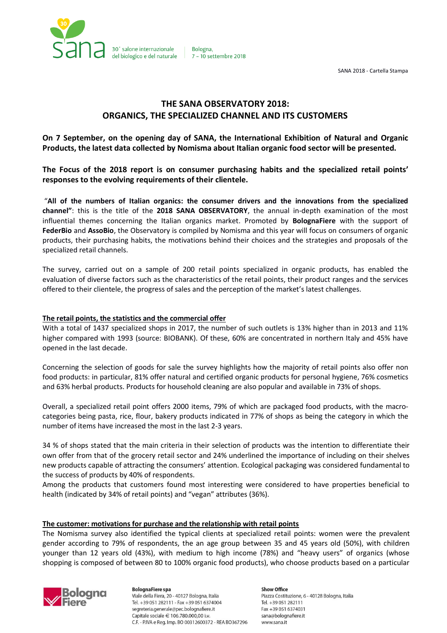

Bologna. 7 - 10 settembre 2018

SANA 2018 - Cartella Stampa

# **THE SANA OBSERVATORY 2018: ORGANICS, THE SPECIALIZED CHANNEL AND ITS CUSTOMERS**

**On 7 September, on the opening day of SANA, the International Exhibition of Natural and Organic Products, the latest data collected by Nomisma about Italian organic food sector will be presented.**

**The Focus of the 2018 report is on consumer purchasing habits and the specialized retail points' responses to the evolving requirements of their clientele.**

"**All of the numbers of Italian organics: the consumer drivers and the innovations from the specialized channel"**: this is the title of the **2018 SANA OBSERVATORY**, the annual in-depth examination of the most influential themes concerning the Italian organics market. Promoted by **BolognaFiere** with the support of **FederBio** and **AssoBio**, the Observatory is compiled by Nomisma and this year will focus on consumers of organic products, their purchasing habits, the motivations behind their choices and the strategies and proposals of the specialized retail channels.

The survey, carried out on a sample of 200 retail points specialized in organic products, has enabled the evaluation of diverse factors such as the characteristics of the retail points, their product ranges and the services offered to their clientele, the progress of sales and the perception of the market's latest challenges.

## **The retail points, the statistics and the commercial offer**

With a total of 1437 specialized shops in 2017, the number of such outlets is 13% higher than in 2013 and 11% higher compared with 1993 (source: BIOBANK). Of these, 60% are concentrated in northern Italy and 45% have opened in the last decade.

Concerning the selection of goods for sale the survey highlights how the majority of retail points also offer non food products: in particular, 81% offer natural and certified organic products for personal hygiene, 76% cosmetics and 63% herbal products. Products for household cleaning are also popular and available in 73% of shops.

Overall, a specialized retail point offers 2000 items, 79% of which are packaged food products, with the macrocategories being pasta, rice, flour, bakery products indicated in 77% of shops as being the category in which the number of items have increased the most in the last 2-3 years.

34 % of shops stated that the main criteria in their selection of products was the intention to differentiate their own offer from that of the grocery retail sector and 24% underlined the importance of including on their shelves new products capable of attracting the consumers' attention. Ecological packaging was considered fundamental to the success of products by 40% of respondents.

Among the products that customers found most interesting were considered to have properties beneficial to health (indicated by 34% of retail points) and "vegan" attributes (36%).

# **The customer: motivations for purchase and the relationship with retail points**

The Nomisma survey also identified the typical clients at specialized retail points: women were the prevalent gender according to 79% of respondents, the an age group between 35 and 45 years old (50%), with children younger than 12 years old (43%), with medium to high income (78%) and "heavy users" of organics (whose shopping is composed of between 80 to 100% organic food products), who choose products based on a particular



**BolognaFiere** spa Viale della Fiera, 20 - 40127 Bologna, Italia Tel. +39 051 282111 - Fax +39 051 6374004 segreteria.generale@pec.bolognafiere.it Capitale sociale € 106.780.000,00 i.v. C.F. - P.IVA e Reg. Imp. BO 00312600372 - REA BO367296

**Show Office** Piazza Costituzione, 6 - 40128 Bologna, Italia Tel. +39 051 282111 Fax +39 051 6374031 sana@bolognafiere.it www.sana.it